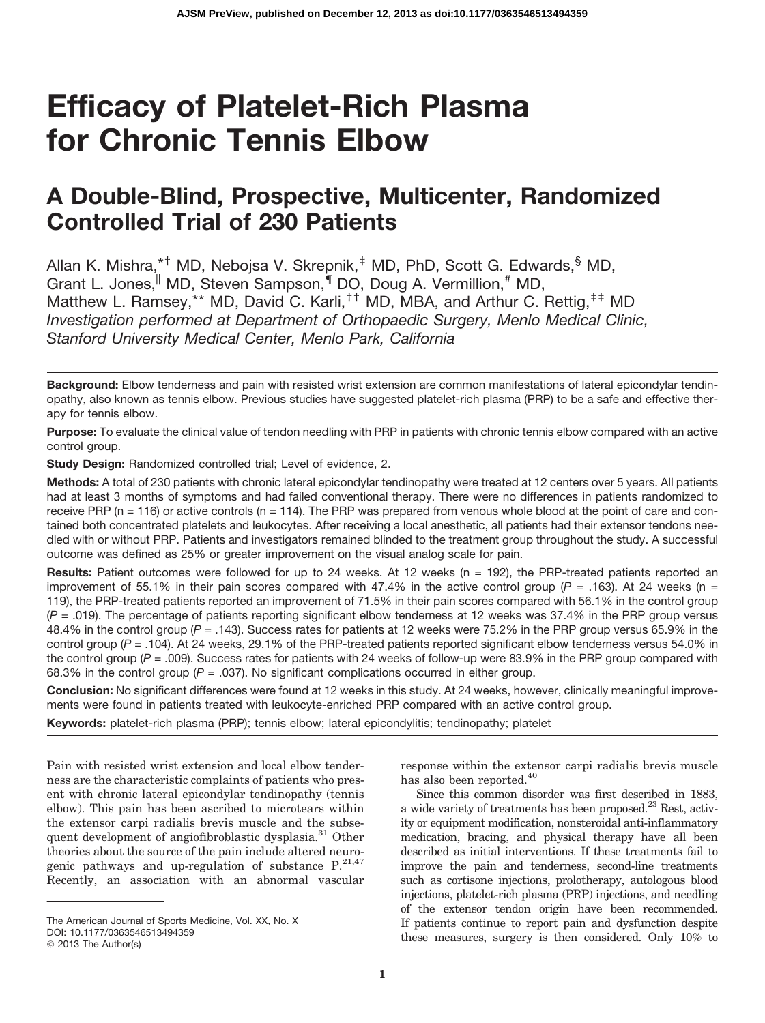# Efficacy of Platelet-Rich Plasma for Chronic Tennis Elbow

# A Double-Blind, Prospective, Multicenter, Randomized Controlled Trial of 230 Patients

Allan K. Mishra,\*<sup>†</sup> MD, Nebojsa V. Skrepnik,<sup>‡</sup> MD, PhD, Scott G. Edwards,<sup>§</sup> MD, Grant L. Jones, MD, Steven Sampson, MDO, Doug A. Vermillion, # MD, Matthew L. Ramsey, \*\* MD, David C. Karli,  $f^{\dagger}$  MD, MBA, and Arthur C. Rettig,  $f^{\dagger}$  MD *Investigation performed at Department of Orthopaedic Surgery, Menlo Medical Clinic, Stanford University Medical Center, Menlo Park, California*

Purpose: To evaluate the clinical value of tendon needling with PRP in patients with chronic tennis elbow compared with an active control group.

Study Design: Randomized controlled trial; Level of evidence, 2.

Methods: A total of 230 patients with chronic lateral epicondylar tendinopathy were treated at 12 centers over 5 years. All patients had at least 3 months of symptoms and had failed conventional therapy. There were no differences in patients randomized to receive PRP ( $n = 116$ ) or active controls ( $n = 114$ ). The PRP was prepared from venous whole blood at the point of care and contained both concentrated platelets and leukocytes. After receiving a local anesthetic, all patients had their extensor tendons needled with or without PRP. Patients and investigators remained blinded to the treatment group throughout the study. A successful outcome was defined as 25% or greater improvement on the visual analog scale for pain.

Results: Patient outcomes were followed for up to 24 weeks. At 12 weeks ( $n = 192$ ), the PRP-treated patients reported an improvement of 55.1% in their pain scores compared with 47.4% in the active control group ( $P = 0.163$ ). At 24 weeks (n = 119), the PRP-treated patients reported an improvement of 71.5% in their pain scores compared with 56.1% in the control group (*P* = .019). The percentage of patients reporting significant elbow tenderness at 12 weeks was 37.4% in the PRP group versus 48.4% in the control group (*P =* .143). Success rates for patients at 12 weeks were 75.2% in the PRP group versus 65.9% in the control group (*P* = .104). At 24 weeks, 29.1% of the PRP-treated patients reported significant elbow tenderness versus 54.0% in the control group (*P* = .009). Success rates for patients with 24 weeks of follow-up were 83.9% in the PRP group compared with 68.3% in the control group (*P* = .037). No significant complications occurred in either group.

Conclusion: No significant differences were found at 12 weeks in this study. At 24 weeks, however, clinically meaningful improvements were found in patients treated with leukocyte-enriched PRP compared with an active control group.

Keywords: platelet-rich plasma (PRP); tennis elbow; lateral epicondylitis; tendinopathy; platelet

Pain with resisted wrist extension and local elbow tenderness are the characteristic complaints of patients who present with chronic lateral epicondylar tendinopathy (tennis elbow). This pain has been ascribed to microtears within the extensor carpi radialis brevis muscle and the subsequent development of angiofibroblastic dysplasia.<sup>31</sup> Other theories about the source of the pain include altered neurogenic pathways and up-regulation of substance  $P^{21,47}$ . Recently, an association with an abnormal vascular

response within the extensor carpi radialis brevis muscle has also been reported.  $\!40}$ 

Since this common disorder was first described in 1883, a wide variety of treatments has been proposed.<sup>23</sup> Rest, activity or equipment modification, nonsteroidal anti-inflammatory medication, bracing, and physical therapy have all been described as initial interventions. If these treatments fail to improve the pain and tenderness, second-line treatments such as cortisone injections, prolotherapy, autologous blood injections, platelet-rich plasma (PRP) injections, and needling of the extensor tendon origin have been recommended. If patients continue to report pain and dysfunction despite these measures, surgery is then considered. Only 10% to

Background: Elbow tenderness and pain with resisted wrist extension are common manifestations of lateral epicondylar tendinopathy, also known as tennis elbow. Previous studies have suggested platelet-rich plasma (PRP) to be a safe and effective therapy for tennis elbow.

The American Journal of Sports Medicine, Vol. XX, No. X

DOI: 10.1177/0363546513494359

<sup>© 2013</sup> The Author(s)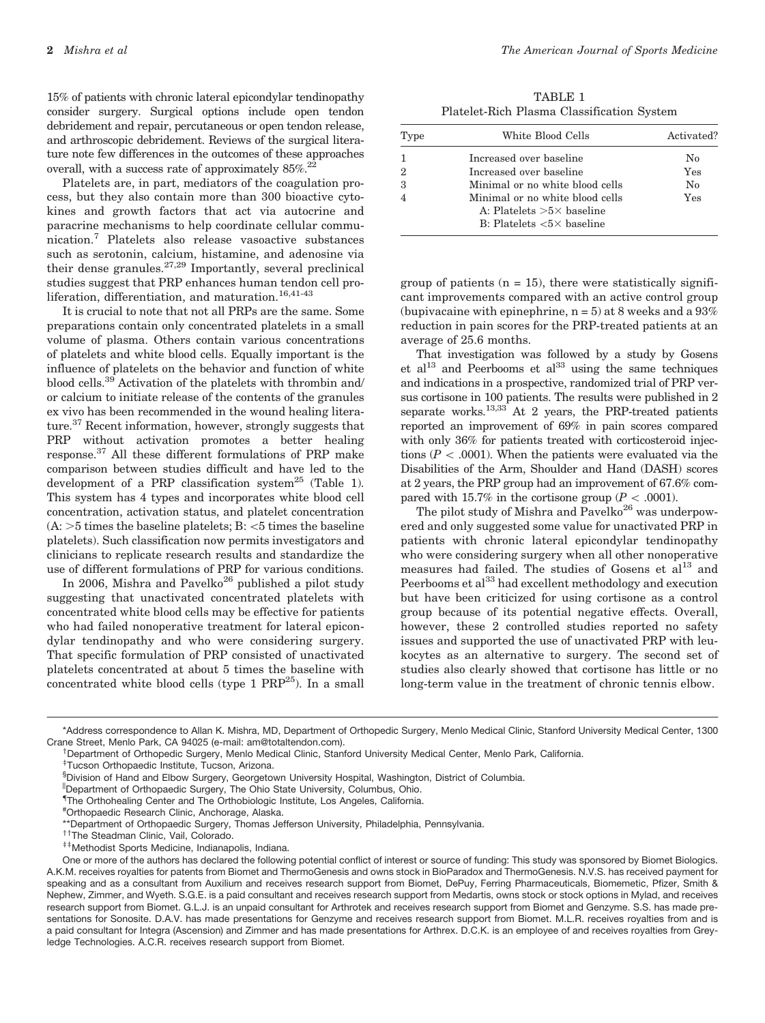15% of patients with chronic lateral epicondylar tendinopathy consider surgery. Surgical options include open tendon debridement and repair, percutaneous or open tendon release, and arthroscopic debridement. Reviews of the surgical literature note few differences in the outcomes of these approaches overall, with a success rate of approximately  $85\%$ <sup>22</sup>

Platelets are, in part, mediators of the coagulation process, but they also contain more than 300 bioactive cytokines and growth factors that act via autocrine and paracrine mechanisms to help coordinate cellular communication.<sup>7</sup> Platelets also release vasoactive substances such as serotonin, calcium, histamine, and adenosine via their dense granules.<sup>27,29</sup> Importantly, several preclinical studies suggest that PRP enhances human tendon cell proliferation, differentiation, and maturation.<sup>16,41-43</sup>

It is crucial to note that not all PRPs are the same. Some preparations contain only concentrated platelets in a small volume of plasma. Others contain various concentrations of platelets and white blood cells. Equally important is the influence of platelets on the behavior and function of white blood cells.<sup>39</sup> Activation of the platelets with thrombin and/ or calcium to initiate release of the contents of the granules ex vivo has been recommended in the wound healing literature.37 Recent information, however, strongly suggests that PRP without activation promotes a better healing response.37 All these different formulations of PRP make comparison between studies difficult and have led to the development of a PRP classification system<sup>25</sup> (Table 1). This system has 4 types and incorporates white blood cell concentration, activation status, and platelet concentration  $(A: >5$  times the baseline platelets; B:  $<5$  times the baseline platelets). Such classification now permits investigators and clinicians to replicate research results and standardize the use of different formulations of PRP for various conditions.

In 2006, Mishra and Pavelko<sup>26</sup> published a pilot study suggesting that unactivated concentrated platelets with concentrated white blood cells may be effective for patients who had failed nonoperative treatment for lateral epicondylar tendinopathy and who were considering surgery. That specific formulation of PRP consisted of unactivated platelets concentrated at about 5 times the baseline with concentrated white blood cells (type  $1$  PRP<sup>25</sup>). In a small

TABLE 1 Platelet-Rich Plasma Classification System

| Type          | White Blood Cells                                                                                         | Activated? |
|---------------|-----------------------------------------------------------------------------------------------------------|------------|
|               | Increased over baseline                                                                                   | Nο         |
| $\mathcal{D}$ | Increased over baseline                                                                                   | Yes        |
| 3             | Minimal or no white blood cells                                                                           | $\rm No$   |
|               | Minimal or no white blood cells<br>A: Platelets $>5\times$ baseline<br>B: Platelets $< 5 \times$ baseline | Yes        |

group of patients  $(n = 15)$ , there were statistically significant improvements compared with an active control group (bupivacaine with epinephrine,  $n = 5$ ) at 8 weeks and a 93% reduction in pain scores for the PRP-treated patients at an average of 25.6 months.

That investigation was followed by a study by Gosens et al<sup>13</sup> and Peerbooms et al<sup>33</sup> using the same techniques and indications in a prospective, randomized trial of PRP versus cortisone in 100 patients. The results were published in 2 separate works.<sup>13,33</sup> At 2 years, the PRP-treated patients reported an improvement of 69% in pain scores compared with only 36% for patients treated with corticosteroid injections ( $P < .0001$ ). When the patients were evaluated via the Disabilities of the Arm, Shoulder and Hand (DASH) scores at 2 years, the PRP group had an improvement of 67.6% compared with 15.7% in the cortisone group ( $P < .0001$ ).

The pilot study of Mishra and Pavelko<sup>26</sup> was underpowered and only suggested some value for unactivated PRP in patients with chronic lateral epicondylar tendinopathy who were considering surgery when all other nonoperative measures had failed. The studies of Gosens et  $al<sup>13</sup>$  and Peerbooms et al<sup>33</sup> had excellent methodology and execution but have been criticized for using cortisone as a control group because of its potential negative effects. Overall, however, these 2 controlled studies reported no safety issues and supported the use of unactivated PRP with leukocytes as an alternative to surgery. The second set of studies also clearly showed that cortisone has little or no long-term value in the treatment of chronic tennis elbow.

<sup>\*</sup>Address correspondence to Allan K. Mishra, MD, Department of Orthopedic Surgery, Menlo Medical Clinic, Stanford University Medical Center, 1300 Crane Street, Menlo Park, CA 94025 (e-mail: am@totaltendon.com).

<sup>&</sup>lt;sup>†</sup> Department of Orthopedic Surgery, Menlo Medical Clinic, Stanford University Medical Center, Menlo Park, California.

<sup>&</sup>lt;sup>‡</sup>Tucson Orthopaedic Institute, Tucson, Arizona.

<sup>§</sup> Division of Hand and Elbow Surgery, Georgetown University Hospital, Washington, District of Columbia.

<sup>||</sup>Department of Orthopaedic Surgery, The Ohio State University, Columbus, Ohio.

<sup>{</sup> The Orthohealing Center and The Orthobiologic Institute, Los Angeles, California.

<sup>#</sup> Orthopaedic Research Clinic, Anchorage, Alaska.

<sup>\*\*</sup>Department of Orthopaedic Surgery, Thomas Jefferson University, Philadelphia, Pennsylvania.<br><sup>††</sup>The Steadman Clinic, Vail, Colorado.<br><sup>‡‡</sup>Methodist Sports Medicine, Indianapolis, Indiana.

One or more of the authors has declared the following potential conflict of interest or source of funding: This study was sponsored by Biomet Biologics. A.K.M. receives royalties for patents from Biomet and ThermoGenesis and owns stock in BioParadox and ThermoGenesis. N.V.S. has received payment for speaking and as a consultant from Auxilium and receives research support from Biomet, DePuy, Ferring Pharmaceuticals, Biomemetic, Pfizer, Smith & Nephew, Zimmer, and Wyeth. S.G.E. is a paid consultant and receives research support from Medartis, owns stock or stock options in Mylad, and receives research support from Biomet. G.L.J. is an unpaid consultant for Arthrotek and receives research support from Biomet and Genzyme. S.S. has made presentations for Sonosite. D.A.V. has made presentations for Genzyme and receives research support from Biomet. M.L.R. receives royalties from and is a paid consultant for Integra (Ascension) and Zimmer and has made presentations for Arthrex. D.C.K. is an employee of and receives royalties from Greyledge Technologies. A.C.R. receives research support from Biomet.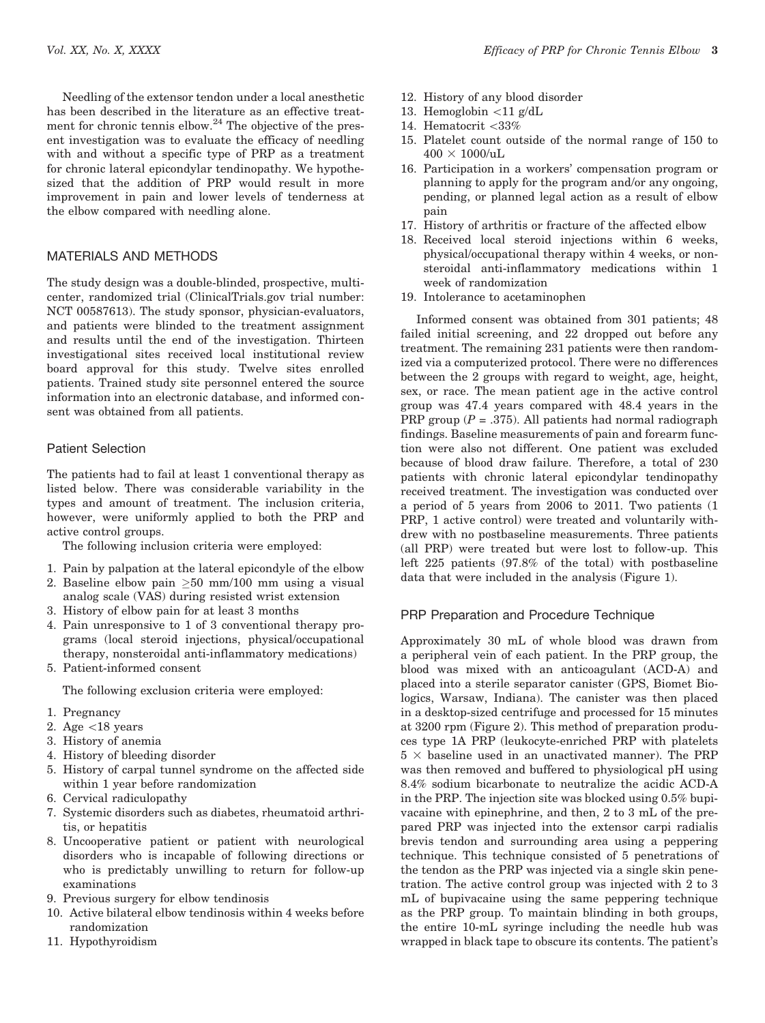Needling of the extensor tendon under a local anesthetic has been described in the literature as an effective treatment for chronic tennis elbow. $24$  The objective of the present investigation was to evaluate the efficacy of needling with and without a specific type of PRP as a treatment for chronic lateral epicondylar tendinopathy. We hypothesized that the addition of PRP would result in more improvement in pain and lower levels of tenderness at the elbow compared with needling alone.

#### MATERIALS AND METHODS

The study design was a double-blinded, prospective, multicenter, randomized trial (ClinicalTrials.gov trial number: NCT 00587613). The study sponsor, physician-evaluators, and patients were blinded to the treatment assignment and results until the end of the investigation. Thirteen investigational sites received local institutional review board approval for this study. Twelve sites enrolled patients. Trained study site personnel entered the source information into an electronic database, and informed consent was obtained from all patients.

#### Patient Selection

The patients had to fail at least 1 conventional therapy as listed below. There was considerable variability in the types and amount of treatment. The inclusion criteria, however, were uniformly applied to both the PRP and active control groups.

The following inclusion criteria were employed:

- 1. Pain by palpation at the lateral epicondyle of the elbow
- 2. Baseline elbow pain  $\geq 50$  mm/100 mm using a visual analog scale (VAS) during resisted wrist extension
- 3. History of elbow pain for at least 3 months
- 4. Pain unresponsive to 1 of 3 conventional therapy programs (local steroid injections, physical/occupational therapy, nonsteroidal anti-inflammatory medications)
- 5. Patient-informed consent

The following exclusion criteria were employed:

- 1. Pregnancy
- 2. Age  $\langle 18 \rangle$  years
- 3. History of anemia
- 4. History of bleeding disorder
- 5. History of carpal tunnel syndrome on the affected side within 1 year before randomization
- 6. Cervical radiculopathy
- 7. Systemic disorders such as diabetes, rheumatoid arthritis, or hepatitis
- 8. Uncooperative patient or patient with neurological disorders who is incapable of following directions or who is predictably unwilling to return for follow-up examinations
- 9. Previous surgery for elbow tendinosis
- 10. Active bilateral elbow tendinosis within 4 weeks before randomization
- 11. Hypothyroidism
- Vol. XX, No. X, XXXX **Efficacy of PRP** for Chronic Tennis Elbow 3
	- 12. History of any blood disorder
	- 13. Hemoglobin  $\langle 11 \text{ g}/dL \rangle$
	- 14. Hematocrit \33%
	- 15. Platelet count outside of the normal range of 150 to  $400 \times 1000/uL$
	- 16. Participation in a workers' compensation program or planning to apply for the program and/or any ongoing, pending, or planned legal action as a result of elbow pain
	- 17. History of arthritis or fracture of the affected elbow
	- 18. Received local steroid injections within 6 weeks, physical/occupational therapy within 4 weeks, or nonsteroidal anti-inflammatory medications within 1 week of randomization
	- 19. Intolerance to acetaminophen

Informed consent was obtained from 301 patients; 48 failed initial screening, and 22 dropped out before any treatment. The remaining 231 patients were then randomized via a computerized protocol. There were no differences between the 2 groups with regard to weight, age, height, sex, or race. The mean patient age in the active control group was 47.4 years compared with 48.4 years in the PRP group ( $P = .375$ ). All patients had normal radiograph findings. Baseline measurements of pain and forearm function were also not different. One patient was excluded because of blood draw failure. Therefore, a total of 230 patients with chronic lateral epicondylar tendinopathy received treatment. The investigation was conducted over a period of 5 years from 2006 to 2011. Two patients (1 PRP, 1 active control) were treated and voluntarily withdrew with no postbaseline measurements. Three patients (all PRP) were treated but were lost to follow-up. This left 225 patients (97.8% of the total) with postbaseline data that were included in the analysis (Figure 1).

## PRP Preparation and Procedure Technique

Approximately 30 mL of whole blood was drawn from a peripheral vein of each patient. In the PRP group, the blood was mixed with an anticoagulant (ACD-A) and placed into a sterile separator canister (GPS, Biomet Biologics, Warsaw, Indiana). The canister was then placed in a desktop-sized centrifuge and processed for 15 minutes at 3200 rpm (Figure 2). This method of preparation produces type 1A PRP (leukocyte-enriched PRP with platelets  $5 \times$  baseline used in an unactivated manner). The PRP was then removed and buffered to physiological pH using 8.4% sodium bicarbonate to neutralize the acidic ACD-A in the PRP. The injection site was blocked using 0.5% bupivacaine with epinephrine, and then, 2 to 3 mL of the prepared PRP was injected into the extensor carpi radialis brevis tendon and surrounding area using a peppering technique. This technique consisted of 5 penetrations of the tendon as the PRP was injected via a single skin penetration. The active control group was injected with 2 to 3 mL of bupivacaine using the same peppering technique as the PRP group. To maintain blinding in both groups, the entire 10-mL syringe including the needle hub was wrapped in black tape to obscure its contents. The patient's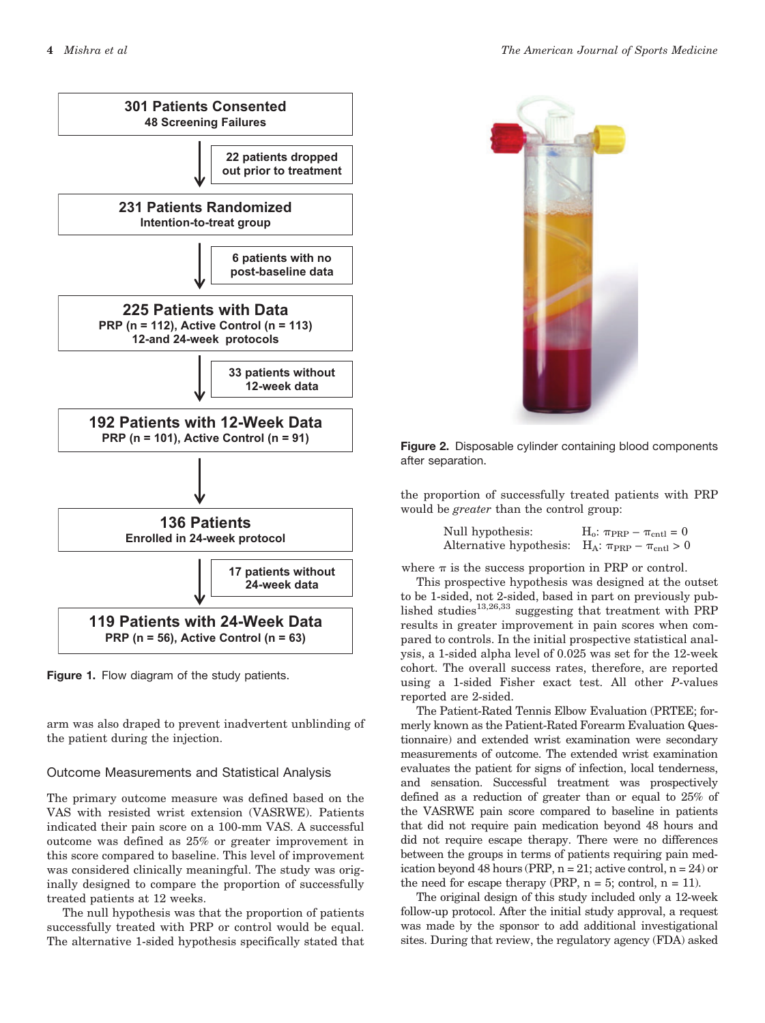

Figure 1. Flow diagram of the study patients.

arm was also draped to prevent inadvertent unblinding of the patient during the injection.

## Outcome Measurements and Statistical Analysis

The primary outcome measure was defined based on the VAS with resisted wrist extension (VASRWE). Patients indicated their pain score on a 100-mm VAS. A successful outcome was defined as 25% or greater improvement in this score compared to baseline. This level of improvement was considered clinically meaningful. The study was originally designed to compare the proportion of successfully treated patients at 12 weeks.

The null hypothesis was that the proportion of patients successfully treated with PRP or control would be equal. The alternative 1-sided hypothesis specifically stated that



Figure 2. Disposable cylinder containing blood components after separation.

the proportion of successfully treated patients with PRP would be greater than the control group:

| Null hypothesis:                                                | $H_o: \pi_{PRP} - \pi_{\text{ent}} = 0$ |
|-----------------------------------------------------------------|-----------------------------------------|
| Alternative hypothesis: $H_A: \pi_{PRP} - \pi_{\text{cnt}} > 0$ |                                         |

where  $\pi$  is the success proportion in PRP or control.

This prospective hypothesis was designed at the outset to be 1-sided, not 2-sided, based in part on previously published studies<sup>13,26,33</sup> suggesting that treatment with PRP results in greater improvement in pain scores when compared to controls. In the initial prospective statistical analysis, a 1-sided alpha level of 0.025 was set for the 12-week cohort. The overall success rates, therefore, are reported using a 1-sided Fisher exact test. All other P-values reported are 2-sided.

The Patient-Rated Tennis Elbow Evaluation (PRTEE; formerly known as the Patient-Rated Forearm Evaluation Questionnaire) and extended wrist examination were secondary measurements of outcome. The extended wrist examination evaluates the patient for signs of infection, local tenderness, and sensation. Successful treatment was prospectively defined as a reduction of greater than or equal to 25% of the VASRWE pain score compared to baseline in patients that did not require pain medication beyond 48 hours and did not require escape therapy. There were no differences between the groups in terms of patients requiring pain medication beyond 48 hours (PRP,  $n = 21$ ; active control,  $n = 24$ ) or the need for escape therapy (PRP,  $n = 5$ ; control,  $n = 11$ ).

The original design of this study included only a 12-week follow-up protocol. After the initial study approval, a request was made by the sponsor to add additional investigational sites. During that review, the regulatory agency (FDA) asked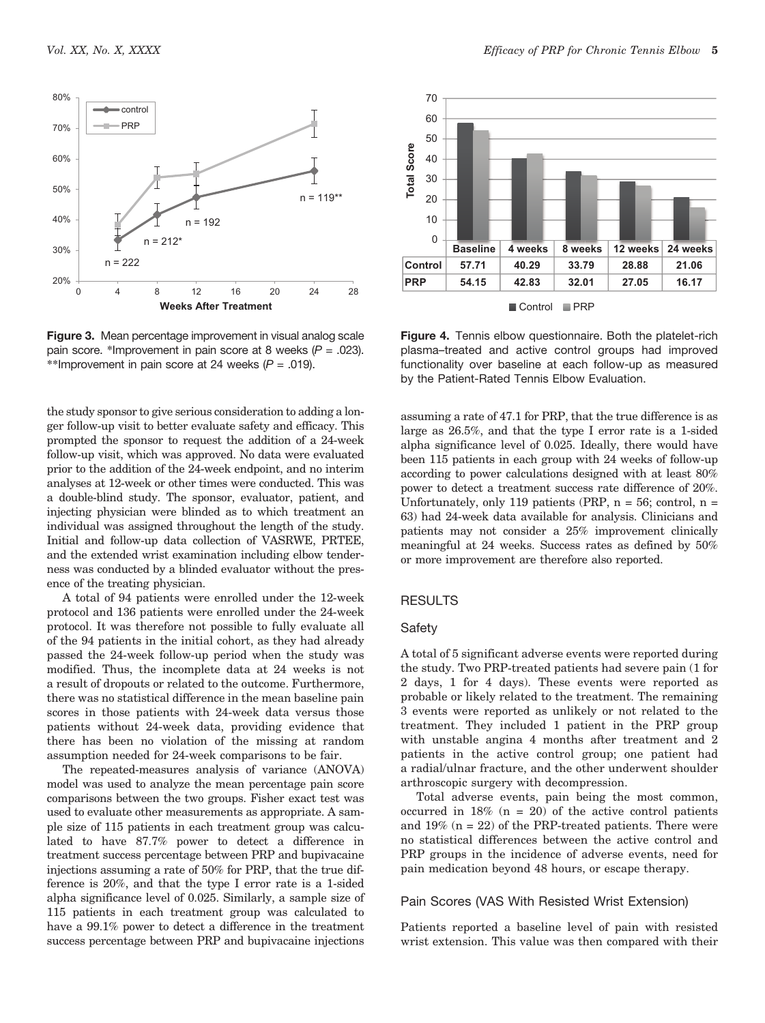

Figure 3. Mean percentage improvement in visual analog scale pain score. \*Improvement in pain score at 8 weeks (*P* = .023). \*\*Improvement in pain score at 24 weeks (*P* = .019).

the study sponsor to give serious consideration to adding a longer follow-up visit to better evaluate safety and efficacy. This prompted the sponsor to request the addition of a 24-week follow-up visit, which was approved. No data were evaluated prior to the addition of the 24-week endpoint, and no interim analyses at 12-week or other times were conducted. This was a double-blind study. The sponsor, evaluator, patient, and injecting physician were blinded as to which treatment an individual was assigned throughout the length of the study. Initial and follow-up data collection of VASRWE, PRTEE, and the extended wrist examination including elbow tenderness was conducted by a blinded evaluator without the presence of the treating physician.

A total of 94 patients were enrolled under the 12-week protocol and 136 patients were enrolled under the 24-week protocol. It was therefore not possible to fully evaluate all of the 94 patients in the initial cohort, as they had already passed the 24-week follow-up period when the study was modified. Thus, the incomplete data at 24 weeks is not a result of dropouts or related to the outcome. Furthermore, there was no statistical difference in the mean baseline pain scores in those patients with 24-week data versus those patients without 24-week data, providing evidence that there has been no violation of the missing at random assumption needed for 24-week comparisons to be fair.

The repeated-measures analysis of variance (ANOVA) model was used to analyze the mean percentage pain score comparisons between the two groups. Fisher exact test was used to evaluate other measurements as appropriate. A sample size of 115 patients in each treatment group was calculated to have 87.7% power to detect a difference in treatment success percentage between PRP and bupivacaine injections assuming a rate of 50% for PRP, that the true difference is 20%, and that the type I error rate is a 1-sided alpha significance level of 0.025. Similarly, a sample size of 115 patients in each treatment group was calculated to have a 99.1% power to detect a difference in the treatment success percentage between PRP and bupivacaine injections



Figure 4. Tennis elbow questionnaire. Both the platelet-rich plasma–treated and active control groups had improved functionality over baseline at each follow-up as measured by the Patient-Rated Tennis Elbow Evaluation.

assuming a rate of 47.1 for PRP, that the true difference is as large as 26.5%, and that the type I error rate is a 1-sided alpha significance level of 0.025. Ideally, there would have been 115 patients in each group with 24 weeks of follow-up according to power calculations designed with at least 80% power to detect a treatment success rate difference of 20%. Unfortunately, only 119 patients (PRP,  $n = 56$ ; control,  $n =$ 63) had 24-week data available for analysis. Clinicians and patients may not consider a 25% improvement clinically meaningful at 24 weeks. Success rates as defined by 50% or more improvement are therefore also reported.

#### RESULTS

#### Safety

A total of 5 significant adverse events were reported during the study. Two PRP-treated patients had severe pain (1 for 2 days, 1 for 4 days). These events were reported as probable or likely related to the treatment. The remaining 3 events were reported as unlikely or not related to the treatment. They included 1 patient in the PRP group with unstable angina 4 months after treatment and 2 patients in the active control group; one patient had a radial/ulnar fracture, and the other underwent shoulder arthroscopic surgery with decompression.

Total adverse events, pain being the most common, occurred in  $18\%$  (n = 20) of the active control patients and  $19\%$  (n = 22) of the PRP-treated patients. There were no statistical differences between the active control and PRP groups in the incidence of adverse events, need for pain medication beyond 48 hours, or escape therapy.

#### Pain Scores (VAS With Resisted Wrist Extension)

Patients reported a baseline level of pain with resisted wrist extension. This value was then compared with their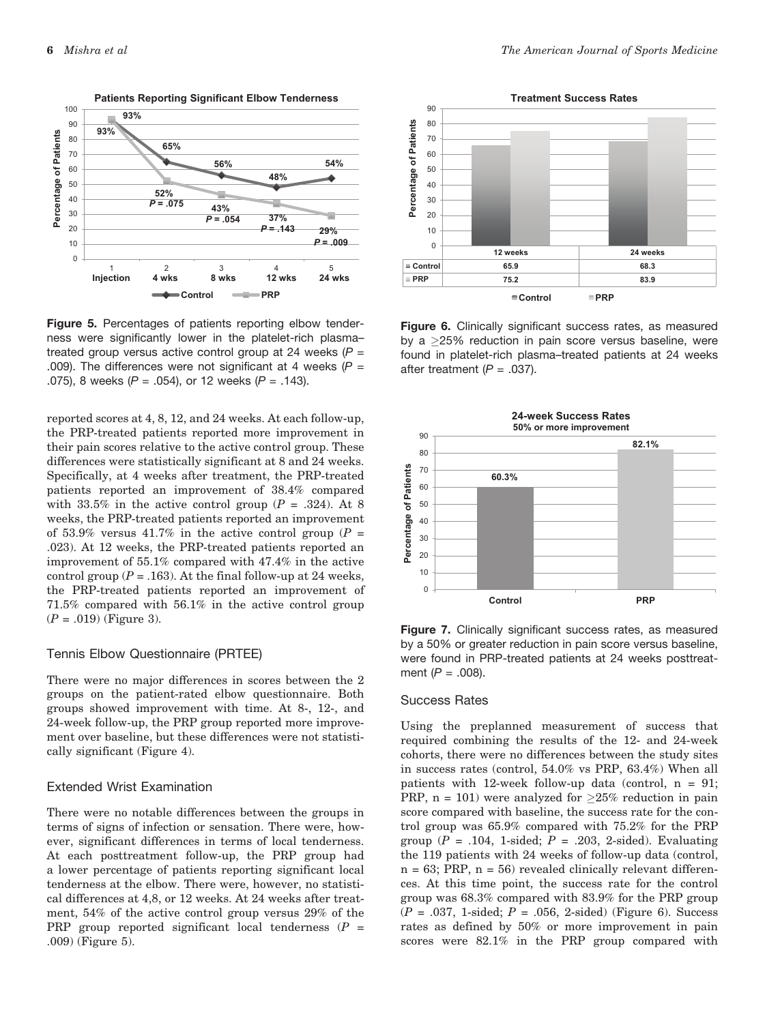

Figure 5. Percentages of patients reporting elbow tenderness were significantly lower in the platelet-rich plasma– treated group versus active control group at 24 weeks  $(P =$ .009). The differences were not significant at 4 weeks  $(P =$ .075), 8 weeks (*P* = .054), or 12 weeks (*P* = .143).

reported scores at 4, 8, 12, and 24 weeks. At each follow-up, the PRP-treated patients reported more improvement in their pain scores relative to the active control group. These differences were statistically significant at 8 and 24 weeks. Specifically, at 4 weeks after treatment, the PRP-treated patients reported an improvement of 38.4% compared with 33.5% in the active control group  $(P = .324)$ . At 8 weeks, the PRP-treated patients reported an improvement of 53.9% versus 41.7% in the active control group ( $P =$ .023). At 12 weeks, the PRP-treated patients reported an improvement of 55.1% compared with 47.4% in the active control group ( $P = .163$ ). At the final follow-up at 24 weeks, the PRP-treated patients reported an improvement of 71.5% compared with 56.1% in the active control group  $(P = .019)$  (Figure 3).

#### Tennis Elbow Questionnaire (PRTEE)

There were no major differences in scores between the 2 groups on the patient-rated elbow questionnaire. Both groups showed improvement with time. At 8-, 12-, and 24-week follow-up, the PRP group reported more improvement over baseline, but these differences were not statistically significant (Figure 4).

#### Extended Wrist Examination

There were no notable differences between the groups in terms of signs of infection or sensation. There were, however, significant differences in terms of local tenderness. At each posttreatment follow-up, the PRP group had a lower percentage of patients reporting significant local tenderness at the elbow. There were, however, no statistical differences at 4,8, or 12 weeks. At 24 weeks after treatment, 54% of the active control group versus 29% of the PRP group reported significant local tenderness  $(P =$ .009) (Figure 5).



Figure 6. Clinically significant success rates, as measured by a  $\geq$ 25% reduction in pain score versus baseline, were found in platelet-rich plasma–treated patients at 24 weeks after treatment  $(P = .037)$ .



Figure 7. Clinically significant success rates, as measured by a 50% or greater reduction in pain score versus baseline, were found in PRP-treated patients at 24 weeks posttreatment (*P* = .008).

#### Success Rates

Using the preplanned measurement of success that required combining the results of the 12- and 24-week cohorts, there were no differences between the study sites in success rates (control, 54.0% vs PRP, 63.4%) When all patients with 12-week follow-up data (control,  $n = 91$ ; PRP,  $n = 101$ ) were analyzed for  $\geq 25\%$  reduction in pain score compared with baseline, the success rate for the control group was 65.9% compared with 75.2% for the PRP group ( $P = .104$ , 1-sided;  $P = .203$ , 2-sided). Evaluating the 119 patients with 24 weeks of follow-up data (control,  $n = 63$ ; PRP,  $n = 56$ ) revealed clinically relevant differences. At this time point, the success rate for the control group was 68.3% compared with 83.9% for the PRP group  $(P = .037, 1 \text{-sided}; P = .056, 2 \text{-sided})$  (Figure 6). Success rates as defined by 50% or more improvement in pain scores were 82.1% in the PRP group compared with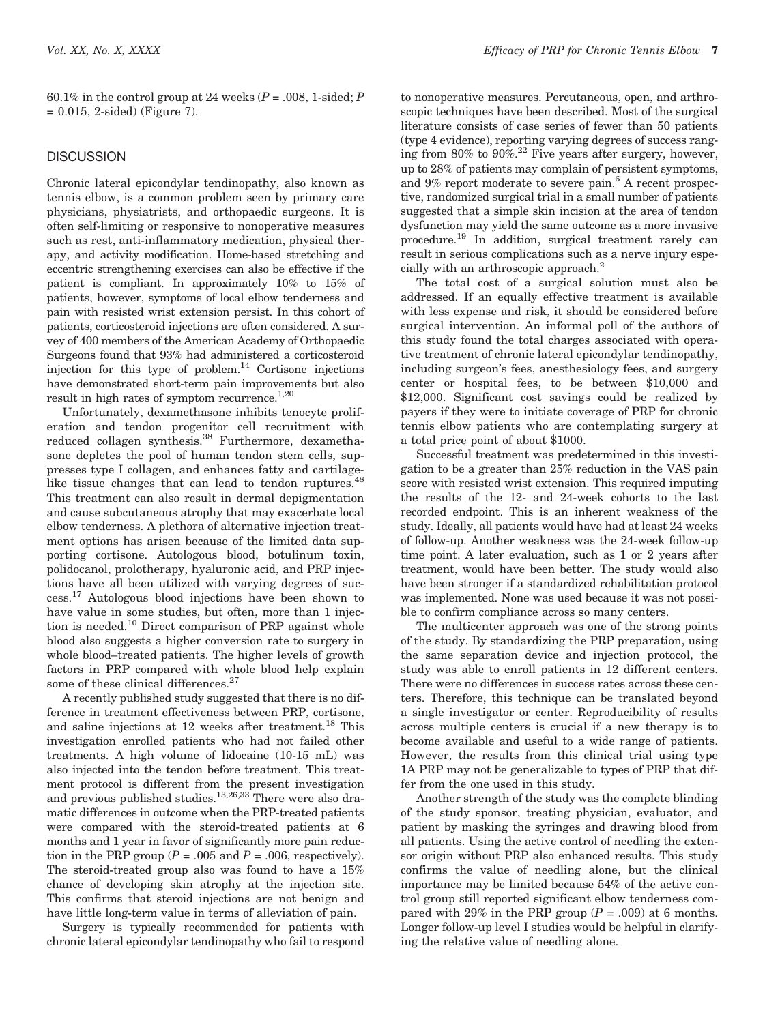60.1% in the control group at 24 weeks ( $P = .008$ , 1-sided; P  $= 0.015$ , 2-sided) (Figure 7).

#### **DISCUSSION**

Chronic lateral epicondylar tendinopathy, also known as tennis elbow, is a common problem seen by primary care physicians, physiatrists, and orthopaedic surgeons. It is often self-limiting or responsive to nonoperative measures such as rest, anti-inflammatory medication, physical therapy, and activity modification. Home-based stretching and eccentric strengthening exercises can also be effective if the patient is compliant. In approximately 10% to 15% of patients, however, symptoms of local elbow tenderness and pain with resisted wrist extension persist. In this cohort of patients, corticosteroid injections are often considered. A survey of 400 members of the American Academy of Orthopaedic Surgeons found that 93% had administered a corticosteroid injection for this type of problem.<sup>14</sup> Cortisone injections have demonstrated short-term pain improvements but also result in high rates of symptom recurrence.<sup>1,20</sup>

Unfortunately, dexamethasone inhibits tenocyte proliferation and tendon progenitor cell recruitment with reduced collagen synthesis.<sup>38</sup> Furthermore, dexamethasone depletes the pool of human tendon stem cells, suppresses type I collagen, and enhances fatty and cartilagelike tissue changes that can lead to tendon ruptures.<sup>48</sup> This treatment can also result in dermal depigmentation and cause subcutaneous atrophy that may exacerbate local elbow tenderness. A plethora of alternative injection treatment options has arisen because of the limited data supporting cortisone. Autologous blood, botulinum toxin, polidocanol, prolotherapy, hyaluronic acid, and PRP injections have all been utilized with varying degrees of success.17 Autologous blood injections have been shown to have value in some studies, but often, more than 1 injection is needed.<sup>10</sup> Direct comparison of PRP against whole blood also suggests a higher conversion rate to surgery in whole blood–treated patients. The higher levels of growth factors in PRP compared with whole blood help explain some of these clinical differences.<sup>27</sup>

A recently published study suggested that there is no difference in treatment effectiveness between PRP, cortisone, and saline injections at 12 weeks after treatment.<sup>18</sup> This investigation enrolled patients who had not failed other treatments. A high volume of lidocaine (10-15 mL) was also injected into the tendon before treatment. This treatment protocol is different from the present investigation and previous published studies.<sup>13,26,33</sup> There were also dramatic differences in outcome when the PRP-treated patients were compared with the steroid-treated patients at 6 months and 1 year in favor of significantly more pain reduction in the PRP group ( $P = .005$  and  $P = .006$ , respectively). The steroid-treated group also was found to have a 15% chance of developing skin atrophy at the injection site. This confirms that steroid injections are not benign and have little long-term value in terms of alleviation of pain.

Surgery is typically recommended for patients with chronic lateral epicondylar tendinopathy who fail to respond to nonoperative measures. Percutaneous, open, and arthroscopic techniques have been described. Most of the surgical literature consists of case series of fewer than 50 patients (type 4 evidence), reporting varying degrees of success ranging from  $80\%$  to  $90\%$ .<sup>22</sup> Five years after surgery, however, up to 28% of patients may complain of persistent symptoms, and  $9\%$  report moderate to severe pain.<sup>6</sup> A recent prospective, randomized surgical trial in a small number of patients suggested that a simple skin incision at the area of tendon dysfunction may yield the same outcome as a more invasive procedure.19 In addition, surgical treatment rarely can result in serious complications such as a nerve injury especially with an arthroscopic approach.<sup>2</sup>

The total cost of a surgical solution must also be addressed. If an equally effective treatment is available with less expense and risk, it should be considered before surgical intervention. An informal poll of the authors of this study found the total charges associated with operative treatment of chronic lateral epicondylar tendinopathy, including surgeon's fees, anesthesiology fees, and surgery center or hospital fees, to be between \$10,000 and \$12,000. Significant cost savings could be realized by payers if they were to initiate coverage of PRP for chronic tennis elbow patients who are contemplating surgery at a total price point of about \$1000.

Successful treatment was predetermined in this investigation to be a greater than 25% reduction in the VAS pain score with resisted wrist extension. This required imputing the results of the 12- and 24-week cohorts to the last recorded endpoint. This is an inherent weakness of the study. Ideally, all patients would have had at least 24 weeks of follow-up. Another weakness was the 24-week follow-up time point. A later evaluation, such as 1 or 2 years after treatment, would have been better. The study would also have been stronger if a standardized rehabilitation protocol was implemented. None was used because it was not possible to confirm compliance across so many centers.

The multicenter approach was one of the strong points of the study. By standardizing the PRP preparation, using the same separation device and injection protocol, the study was able to enroll patients in 12 different centers. There were no differences in success rates across these centers. Therefore, this technique can be translated beyond a single investigator or center. Reproducibility of results across multiple centers is crucial if a new therapy is to become available and useful to a wide range of patients. However, the results from this clinical trial using type 1A PRP may not be generalizable to types of PRP that differ from the one used in this study.

Another strength of the study was the complete blinding of the study sponsor, treating physician, evaluator, and patient by masking the syringes and drawing blood from all patients. Using the active control of needling the extensor origin without PRP also enhanced results. This study confirms the value of needling alone, but the clinical importance may be limited because 54% of the active control group still reported significant elbow tenderness compared with 29% in the PRP group  $(P = .009)$  at 6 months. Longer follow-up level I studies would be helpful in clarifying the relative value of needling alone.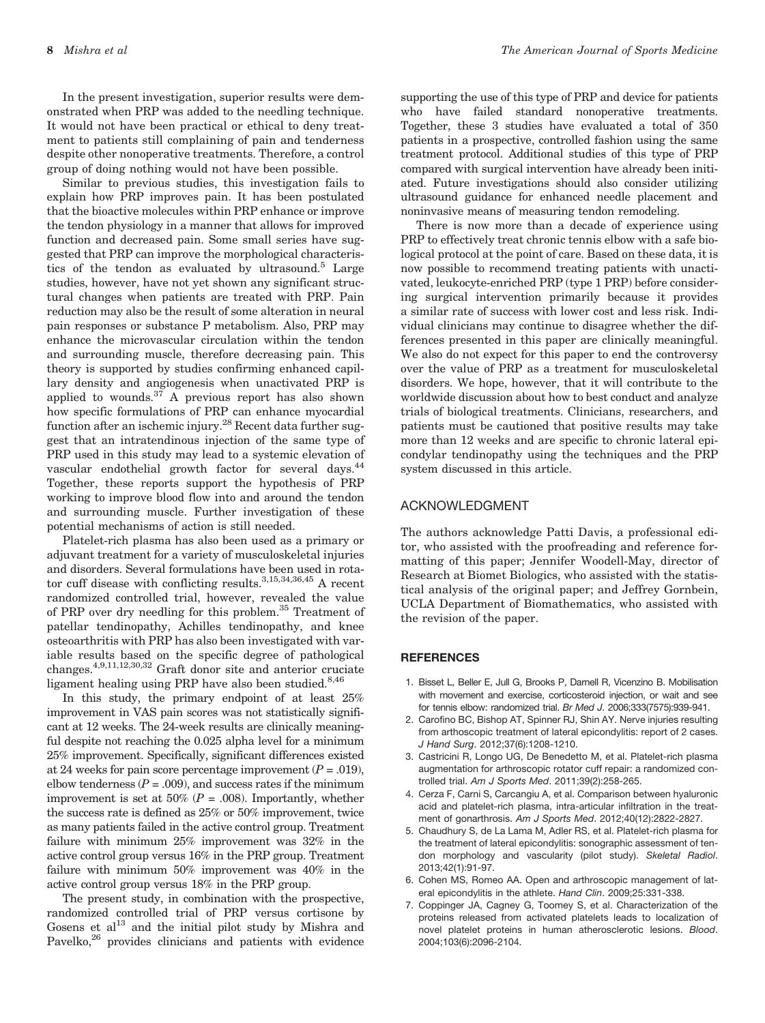In the present investigation, superior results were demonstrated when PRP was added to the needling technique. It would not have been practical or ethical to deny treatment to patients still complaining of pain and tenderness despite other nonoperative treatments. Therefore, a control group of doing nothing would not have been possible.

Similar to previous studies, this investigation fails to explain how PRP improves pain. It has been postulated that the bioactive molecules within PRP enhance or improve the tendon physiology in a manner that allows for improved function and decreased pain. Some small series have suggested that PRP can improve the morphological characteristics of the tendon as evaluated by ultrasound.<sup>5</sup> Large studies, however, have not yet shown any significant structural changes when patients are treated with PRP. Pain reduction may also be the result of some alteration in neural pain responses or substance P metabolism. Also, PRP may enhance the microvascular circulation within the tendon and surrounding muscle, therefore decreasing pain. This theory is supported by studies confirming enhanced capillary density and angiogenesis when unactivated PRP is applied to wounds.<sup>37</sup> A previous report has also shown how specific formulations of PRP can enhance myocardial function after an ischemic injury.<sup>28</sup> Recent data further suggest that an intratendinous injection of the same type of PRP used in this study may lead to a systemic elevation of vascular endothelial growth factor for several days.44 Together, these reports support the hypothesis of PRP working to improve blood flow into and around the tendon and surrounding muscle. Further investigation of these potential mechanisms of action is still needed.

Platelet-rich plasma has also been used as a primary or adjuvant treatment for a variety of musculoskeletal injuries and disorders. Several formulations have been used in rotator cuff disease with conflicting results.<sup>3,15,34,36,45</sup> A recent randomized controlled trial, however, revealed the value of PRP over dry needling for this problem.35 Treatment of patellar tendinopathy, Achilles tendinopathy, and knee osteoarthritis with PRP has also been investigated with variable results based on the specific degree of pathological changes.4,9,11,12,30,32 Graft donor site and anterior cruciate ligament healing using PRP have also been studied. $8,46$ 

In this study, the primary endpoint of at least 25% improvement in VAS pain scores was not statistically significant at 12 weeks. The 24-week results are clinically meaningful despite not reaching the 0.025 alpha level for a minimum 25% improvement. Specifically, significant differences existed at 24 weeks for pain score percentage improvement  $(P = .019)$ , elbow tenderness ( $P = .009$ ), and success rates if the minimum improvement is set at 50% ( $P = .008$ ). Importantly, whether the success rate is defined as 25% or 50% improvement, twice as many patients failed in the active control group. Treatment failure with minimum 25% improvement was 32% in the active control group versus 16% in the PRP group. Treatment failure with minimum 50% improvement was 40% in the active control group versus 18% in the PRP group.

The present study, in combination with the prospective, randomized controlled trial of PRP versus cortisone by Gosens et al $^{13}$  and the initial pilot study by Mishra and Pavelko,<sup>26</sup> provides clinicians and patients with evidence supporting the use of this type of PRP and device for patients who have failed standard nonoperative treatments. Together, these 3 studies have evaluated a total of 350 patients in a prospective, controlled fashion using the same treatment protocol. Additional studies of this type of PRP compared with surgical intervention have already been initiated. Future investigations should also consider utilizing ultrasound guidance for enhanced needle placement and noninvasive means of measuring tendon remodeling.

There is now more than a decade of experience using PRP to effectively treat chronic tennis elbow with a safe biological protocol at the point of care. Based on these data, it is now possible to recommend treating patients with unactivated, leukocyte-enriched PRP (type 1 PRP) before considering surgical intervention primarily because it provides a similar rate of success with lower cost and less risk. Individual clinicians may continue to disagree whether the differences presented in this paper are clinically meaningful. We also do not expect for this paper to end the controversy over the value of PRP as a treatment for musculoskeletal disorders. We hope, however, that it will contribute to the worldwide discussion about how to best conduct and analyze trials of biological treatments. Clinicians, researchers, and patients must be cautioned that positive results may take more than 12 weeks and are specific to chronic lateral epicondylar tendinopathy using the techniques and the PRP system discussed in this article.

#### ACKNOWLEDGMENT

The authors acknowledge Patti Davis, a professional editor, who assisted with the proofreading and reference formatting of this paper; Jennifer Woodell-May, director of Research at Biomet Biologics, who assisted with the statistical analysis of the original paper; and Jeffrey Gornbein, UCLA Department of Biomathematics, who assisted with the revision of the paper.

#### **REFERENCES**

- 1. Bisset L, Beller E, Jull G, Brooks P, Darnell R, Vicenzino B. Mobilisation with movement and exercise, corticosteroid injection, or wait and see for tennis elbow: randomized trial. *Br Med J*. 2006;333(7575):939-941.
- 2. Carofino BC, Bishop AT, Spinner RJ, Shin AY. Nerve injuries resulting from arthoscopic treatment of lateral epicondylitis: report of 2 cases. *J Hand Surg*. 2012;37(6):1208-1210.
- 3. Castricini R, Longo UG, De Benedetto M, et al. Platelet-rich plasma augmentation for arthroscopic rotator cuff repair: a randomized controlled trial. *Am J Sports Med*. 2011;39(2):258-265.
- 4. Cerza F, Carni S, Carcangiu A, et al. Comparison between hyaluronic acid and platelet-rich plasma, intra-articular infiltration in the treatment of gonarthrosis. *Am J Sports Med*. 2012;40(12):2822-2827.
- 5. Chaudhury S, de La Lama M, Adler RS, et al. Platelet-rich plasma for the treatment of lateral epicondylitis: sonographic assessment of tendon morphology and vascularity (pilot study). *Skeletal Radiol*. 2013;42(1):91-97.
- 6. Cohen MS, Romeo AA. Open and arthroscopic management of lateral epicondylitis in the athlete. *Hand Clin*. 2009;25:331-338.
- 7. Coppinger JA, Cagney G, Toomey S, et al. Characterization of the proteins released from activated platelets leads to localization of novel platelet proteins in human atherosclerotic lesions. *Blood*. 2004;103(6):2096-2104.